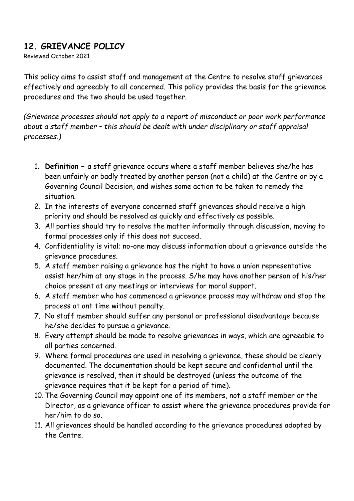### **12. GRIEVANCE POLICY**

Reviewed October 2021

This policy aims to assist staff and management at the Centre to resolve staff grievances effectively and agreeably to all concerned. This policy provides the basis for the grievance procedures and the two should be used together.

*(Grievance processes should not apply to a report of misconduct or poor work performance about a staff member – this should be dealt with under disciplinary or staff appraisal processes.)*

- 1. **Definition –** a staff grievance occurs where a staff member believes she/he has been unfairly or badly treated by another person (not a child) at the Centre or by a Governing Council Decision, and wishes some action to be taken to remedy the situation.
- 2. In the interests of everyone concerned staff grievances should receive a high priority and should be resolved as quickly and effectively as possible.
- 3. All parties should try to resolve the matter informally through discussion, moving to formal processes only if this does not succeed.
- 4. Confidentiality is vital; no-one may discuss information about a grievance outside the grievance procedures.
- 5. A staff member raising a grievance has the right to have a union representative assist her/him at any stage in the process. S/he may have another person of his/her choice present at any meetings or interviews for moral support.
- 6. A staff member who has commenced a grievance process may withdraw and stop the process at ant time without penalty.
- 7. No staff member should suffer any personal or professional disadvantage because he/she decides to pursue a grievance.
- 8. Every attempt should be made to resolve grievances in ways, which are agreeable to all parties concerned.
- 9. Where formal procedures are used in resolving a grievance, these should be clearly documented. The documentation should be kept secure and confidential until the grievance is resolved, then it should be destroyed (unless the outcome of the grievance requires that it be kept for a period of time).
- 10. The Governing Council may appoint one of its members, not a staff member or the Director, as a grievance officer to assist where the grievance procedures provide for her/him to do so.
- 11. All grievances should be handled according to the grievance procedures adopted by the Centre.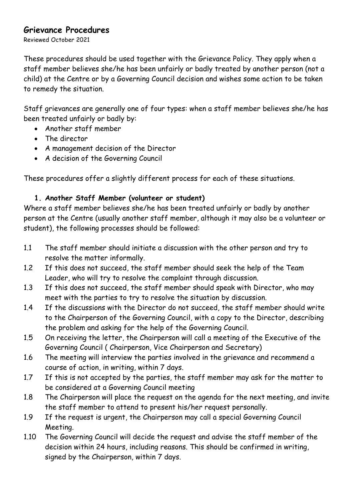#### **Grievance Procedures**

Reviewed October 2021

These procedures should be used together with the Grievance Policy. They apply when a staff member believes she/he has been unfairly or badly treated by another person (not a child) at the Centre or by a Governing Council decision and wishes some action to be taken to remedy the situation.

Staff grievances are generally one of four types: when a staff member believes she/he has been treated unfairly or badly by:

- Another staff member
- The director
- A management decision of the Director
- A decision of the Governing Council

These procedures offer a slightly different process for each of these situations.

#### **1. Another Staff Member (volunteer or student)**

Where a staff member believes she/he has been treated unfairly or badly by another person at the Centre (usually another staff member, although it may also be a volunteer or student), the following processes should be followed:

- 1.1 The staff member should initiate a discussion with the other person and try to resolve the matter informally.
- 1.2 If this does not succeed, the staff member should seek the help of the Team Leader, who will try to resolve the complaint through discussion.
- 1.3 If this does not succeed, the staff member should speak with Director, who may meet with the parties to try to resolve the situation by discussion.
- 1.4 If the discussions with the Director do not succeed, the staff member should write to the Chairperson of the Governing Council, with a copy to the Director, describing the problem and asking for the help of the Governing Council.
- 1.5 On receiving the letter, the Chairperson will call a meeting of the Executive of the Governing Council ( Chairperson, Vice Chairperson and Secretary)
- 1.6 The meeting will interview the parties involved in the grievance and recommend a course of action, in writing, within 7 days.
- 1.7 If this is not accepted by the parties, the staff member may ask for the matter to be considered at a Governing Council meeting
- 1.8 The Chairperson will place the request on the agenda for the next meeting, and invite the staff member to attend to present his/her request personally.
- 1.9 If the request is urgent, the Chairperson may call a special Governing Council Meeting.
- 1.10 The Governing Council will decide the request and advise the staff member of the decision within 24 hours, including reasons. This should be confirmed in writing, signed by the Chairperson, within 7 days.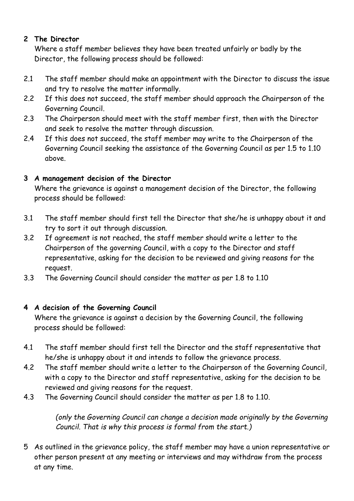#### **2 The Director**

Where a staff member believes they have been treated unfairly or badly by the Director, the following process should be followed:

- 2.1 The staff member should make an appointment with the Director to discuss the issue and try to resolve the matter informally.
- 2.2 If this does not succeed, the staff member should approach the Chairperson of the Governing Council.
- 2.3 The Chairperson should meet with the staff member first, then with the Director and seek to resolve the matter through discussion.
- 2.4 If this does not succeed, the staff member may write to the Chairperson of the Governing Council seeking the assistance of the Governing Council as per 1.5 to 1.10 above.

#### **3 A management decision of the Director**

Where the grievance is against a management decision of the Director, the following process should be followed:

- 3.1 The staff member should first tell the Director that she/he is unhappy about it and try to sort it out through discussion.
- 3.2 If agreement is not reached, the staff member should write a letter to the Chairperson of the governing Council, with a copy to the Director and staff representative, asking for the decision to be reviewed and giving reasons for the request.
- 3.3 The Governing Council should consider the matter as per 1.8 to 1.10

#### **4 A decision of the Governing Council**

Where the grievance is against a decision by the Governing Council, the following process should be followed:

- 4.1 The staff member should first tell the Director and the staff representative that he/she is unhappy about it and intends to follow the grievance process.
- 4.2 The staff member should write a letter to the Chairperson of the Governing Council, with a copy to the Director and staff representative, asking for the decision to be reviewed and giving reasons for the request.
- 4.3 The Governing Council should consider the matter as per 1.8 to 1.10.

*(only the Governing Council can change a decision made originally by the Governing Council. That is why this process is formal from the start.)*

5 As outlined in the grievance policy, the staff member may have a union representative or other person present at any meeting or interviews and may withdraw from the process at any time.